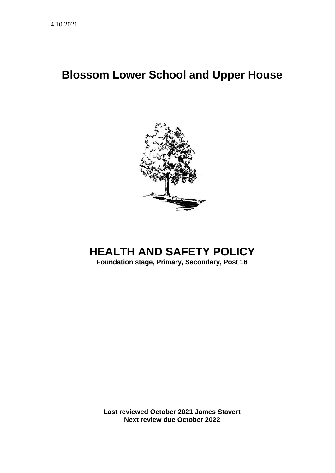# **Blossom Lower School and Upper House**



# **HEALTH AND SAFETY POLICY**

**Foundation stage, Primary, Secondary, Post 16**

**Last reviewed October 2021 James Stavert Next review due October 2022**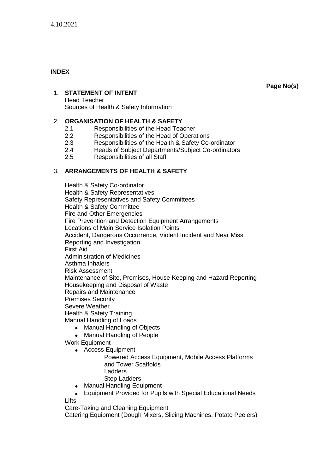# **INDEX**

**Page No(s)**

# 1. **STATEMENT OF INTENT**

Head Teacher Sources of Health & Safety Information

# 2. **ORGANISATION OF HEALTH & SAFETY**

- 2.1 Responsibilities of the Head Teacher
- 2.2 Responsibilities of the Head of Operations
- 2.3 Responsibilities of the Health & Safety Co-ordinator
- 2.4 Heads of Subject Departments/Subject Co-ordinators
- 2.5 Responsibilities of all Staff

# 3. **ARRANGEMENTS OF HEALTH & SAFETY**

Health & Safety Co-ordinator Health & Safety Representatives Safety Representatives and Safety Committees Health & Safety Committee Fire and Other Emergencies Fire Prevention and Detection Equipment Arrangements Locations of Main Service Isolation Points Accident, Dangerous Occurrence, Violent Incident and Near Miss Reporting and Investigation First Aid Administration of Medicines Asthma Inhalers Risk Assessment Maintenance of Site, Premises, House Keeping and Hazard Reporting Housekeeping and Disposal of Waste Repairs and Maintenance Premises Security Severe Weather Health & Safety Training Manual Handling of Loads

- Manual Handling of Objects
- Manual Handling of People
- Work Equipment
	- Access Equipment
		- Powered Access Equipment, Mobile Access Platforms and Tower Scaffolds Ladders Step Ladders
	- Manual Handling Equipment

## • Equipment Provided for Pupils with Special Educational Needs

**Lifts** 

Care-Taking and Cleaning Equipment

Catering Equipment (Dough Mixers, Slicing Machines, Potato Peelers)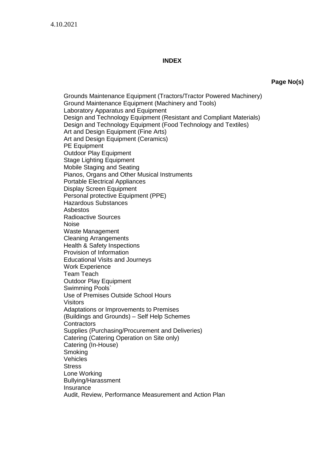#### **INDEX**

**Page No(s)**

Grounds Maintenance Equipment (Tractors/Tractor Powered Machinery) Ground Maintenance Equipment (Machinery and Tools) Laboratory Apparatus and Equipment Design and Technology Equipment (Resistant and Compliant Materials) Design and Technology Equipment (Food Technology and Textiles) Art and Design Equipment (Fine Arts) Art and Design Equipment (Ceramics) PE Equipment Outdoor Play Equipment Stage Lighting Equipment Mobile Staging and Seating Pianos, Organs and Other Musical Instruments Portable Electrical Appliances Display Screen Equipment Personal protective Equipment (PPE) Hazardous Substances Asbestos Radioactive Sources Noise Waste Management Cleaning Arrangements Health & Safety Inspections Provision of Information Educational Visits and Journeys Work Experience Team Teach **Outdoor Play Equipment** Swimming Pools` Use of Premises Outside School Hours **Visitors** Adaptations or Improvements to Premises (Buildings and Grounds) – Self Help Schemes **Contractors** Supplies (Purchasing/Procurement and Deliveries) Catering (Catering Operation on Site only) Catering (In-House) **Smoking Vehicles Stress** Lone Working Bullying/Harassment Insurance Audit, Review, Performance Measurement and Action Plan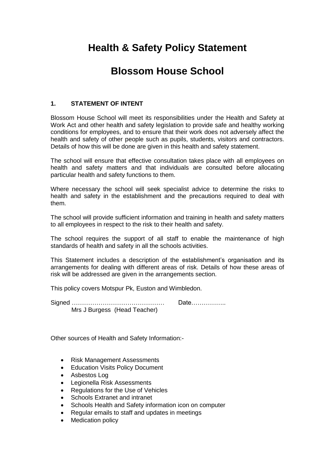# **Health & Safety Policy Statement**

# **Blossom House School**

# **1. STATEMENT OF INTENT**

Blossom House School will meet its responsibilities under the Health and Safety at Work Act and other health and safety legislation to provide safe and healthy working conditions for employees, and to ensure that their work does not adversely affect the health and safety of other people such as pupils, students, visitors and contractors. Details of how this will be done are given in this health and safety statement.

The school will ensure that effective consultation takes place with all employees on health and safety matters and that individuals are consulted before allocating particular health and safety functions to them.

Where necessary the school will seek specialist advice to determine the risks to health and safety in the establishment and the precautions required to deal with them.

The school will provide sufficient information and training in health and safety matters to all employees in respect to the risk to their health and safety.

The school requires the support of all staff to enable the maintenance of high standards of health and safety in all the schools activities.

This Statement includes a description of the establishment's organisation and its arrangements for dealing with different areas of risk. Details of how these areas of risk will be addressed are given in the arrangements section.

This policy covers Motspur Pk, Euston and Wimbledon.

Signed ……………………………………… Date…………….. Mrs J Burgess (Head Teacher)

Other sources of Health and Safety Information:-

- Risk Management Assessments
- **Education Visits Policy Document**
- Asbestos Log
- Legionella Risk Assessments
- Regulations for the Use of Vehicles
- Schools Extranet and intranet
- Schools Health and Safety information icon on computer
- Regular emails to staff and updates in meetings
- **Medication policy**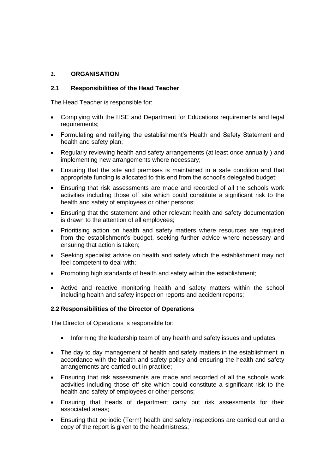## **2. ORGANISATION**

## **2.1 Responsibilities of the Head Teacher**

The Head Teacher is responsible for:

- Complying with the HSE and Department for Educations requirements and legal requirements;
- Formulating and ratifying the establishment's Health and Safety Statement and health and safety plan;
- Regularly reviewing health and safety arrangements (at least once annually ) and implementing new arrangements where necessary;
- Ensuring that the site and premises is maintained in a safe condition and that appropriate funding is allocated to this end from the school's delegated budget;
- Ensuring that risk assessments are made and recorded of all the schools work activities including those off site which could constitute a significant risk to the health and safety of employees or other persons;
- Ensuring that the statement and other relevant health and safety documentation is drawn to the attention of all employees;
- Prioritising action on health and safety matters where resources are required from the establishment's budget, seeking further advice where necessary and ensuring that action is taken;
- Seeking specialist advice on health and safety which the establishment may not feel competent to deal with;
- Promoting high standards of health and safety within the establishment;
- Active and reactive monitoring health and safety matters within the school including health and safety inspection reports and accident reports;

## **2.2 Responsibilities of the Director of Operations**

The Director of Operations is responsible for:

- Informing the leadership team of any health and safety issues and updates.
- The day to day management of health and safety matters in the establishment in accordance with the health and safety policy and ensuring the health and safety arrangements are carried out in practice;
- Ensuring that risk assessments are made and recorded of all the schools work activities including those off site which could constitute a significant risk to the health and safety of employees or other persons;
- Ensuring that heads of department carry out risk assessments for their associated areas;
- Ensuring that periodic (Term) health and safety inspections are carried out and a copy of the report is given to the headmistress;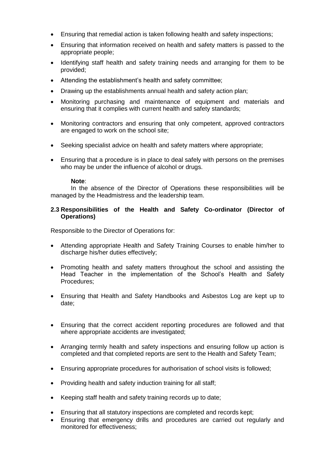- Ensuring that remedial action is taken following health and safety inspections;
- Ensuring that information received on health and safety matters is passed to the appropriate people;
- Identifying staff health and safety training needs and arranging for them to be provided;
- Attending the establishment's health and safety committee;
- Drawing up the establishments annual health and safety action plan;
- Monitoring purchasing and maintenance of equipment and materials and ensuring that it complies with current health and safety standards;
- Monitoring contractors and ensuring that only competent, approved contractors are engaged to work on the school site;
- Seeking specialist advice on health and safety matters where appropriate;
- Ensuring that a procedure is in place to deal safely with persons on the premises who may be under the influence of alcohol or drugs.

#### **Note**:

In the absence of the Director of Operations these responsibilities will be managed by the Headmistress and the leadership team.

#### **2.3 Responsibilities of the Health and Safety Co-ordinator (Director of Operations)**

Responsible to the Director of Operations for:

- Attending appropriate Health and Safety Training Courses to enable him/her to discharge his/her duties effectively;
- Promoting health and safety matters throughout the school and assisting the Head Teacher in the implementation of the School's Health and Safety Procedures;
- Ensuring that Health and Safety Handbooks and Asbestos Log are kept up to date;
- Ensuring that the correct accident reporting procedures are followed and that where appropriate accidents are investigated:
- Arranging termly health and safety inspections and ensuring follow up action is completed and that completed reports are sent to the Health and Safety Team;
- Ensuring appropriate procedures for authorisation of school visits is followed;
- Providing health and safety induction training for all staff;
- Keeping staff health and safety training records up to date;
- Ensuring that all statutory inspections are completed and records kept;
- Ensuring that emergency drills and procedures are carried out regularly and monitored for effectiveness;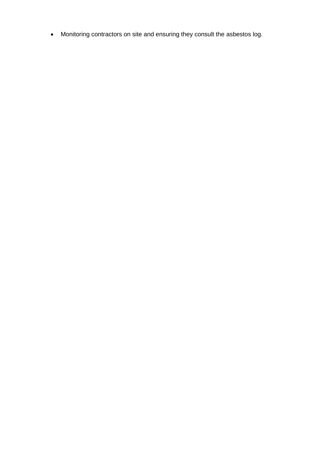• Monitoring contractors on site and ensuring they consult the asbestos log.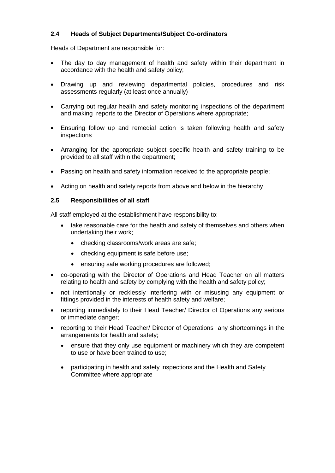# **2.4 Heads of Subject Departments/Subject Co-ordinators**

Heads of Department are responsible for:

- The day to day management of health and safety within their department in accordance with the health and safety policy;
- Drawing up and reviewing departmental policies, procedures and risk assessments regularly (at least once annually)
- Carrying out regular health and safety monitoring inspections of the department and making reports to the Director of Operations where appropriate;
- Ensuring follow up and remedial action is taken following health and safety inspections
- Arranging for the appropriate subject specific health and safety training to be provided to all staff within the department;
- Passing on health and safety information received to the appropriate people;
- Acting on health and safety reports from above and below in the hierarchy

#### **2.5 Responsibilities of all staff**

All staff employed at the establishment have responsibility to:

- take reasonable care for the health and safety of themselves and others when undertaking their work;
	- checking classrooms/work areas are safe;
	- checking equipment is safe before use;
	- ensuring safe working procedures are followed;
- co-operating with the Director of Operations and Head Teacher on all matters relating to health and safety by complying with the health and safety policy;
- not intentionally or recklessly interfering with or misusing any equipment or fittings provided in the interests of health safety and welfare;
- reporting immediately to their Head Teacher/ Director of Operations any serious or immediate danger;
- reporting to their Head Teacher/ Director of Operations any shortcomings in the arrangements for health and safety;
	- ensure that they only use equipment or machinery which they are competent to use or have been trained to use;
	- participating in health and safety inspections and the Health and Safety Committee where appropriate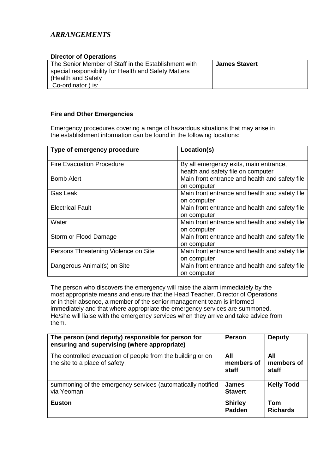# *ARRANGEMENTS*

| <b>Director of Operations</b>                                                                                                                            |                      |
|----------------------------------------------------------------------------------------------------------------------------------------------------------|----------------------|
| The Senior Member of Staff in the Establishment with<br>special responsibility for Health and Safety Matters<br>(Health and Safety)<br>Co-ordinator) is: | <b>James Stavert</b> |

## **Fire and Other Emergencies**

Emergency procedures covering a range of hazardous situations that may arise in the establishment information can be found in the following locations:

| Type of emergency procedure          | Location(s)                                    |
|--------------------------------------|------------------------------------------------|
| <b>Fire Evacuation Procedure</b>     | By all emergency exits, main entrance,         |
|                                      | health and safety file on computer             |
| <b>Bomb Alert</b>                    | Main front entrance and health and safety file |
|                                      | on computer                                    |
| Gas Leak                             | Main front entrance and health and safety file |
|                                      | on computer                                    |
| <b>Electrical Fault</b>              | Main front entrance and health and safety file |
|                                      | on computer                                    |
| Water                                | Main front entrance and health and safety file |
|                                      | on computer                                    |
| Storm or Flood Damage                | Main front entrance and health and safety file |
|                                      | on computer                                    |
| Persons Threatening Violence on Site | Main front entrance and health and safety file |
|                                      | on computer                                    |
| Dangerous Animal(s) on Site          | Main front entrance and health and safety file |
|                                      | on computer                                    |

The person who discovers the emergency will raise the alarm immediately by the most appropriate means and ensure that the Head Teacher, Director of Operations or in their absence, a member of the senior management team is informed immediately and that where appropriate the emergency services are summoned. He/she will liaise with the emergency services when they arrive and take advice from them.

| The person (and deputy) responsible for person for<br>ensuring and supervising (where appropriate) | <b>Person</b>                  | <b>Deputy</b>                 |
|----------------------------------------------------------------------------------------------------|--------------------------------|-------------------------------|
| The controlled evacuation of people from the building or on<br>the site to a place of safety,      | All<br>members of<br>staff     | All<br>members of<br>staff    |
| summoning of the emergency services (automatically notified<br>via Yeoman                          | <b>James</b><br><b>Stavert</b> | <b>Kelly Todd</b>             |
| <b>Euston</b>                                                                                      | <b>Shirley</b><br>Padden       | <b>Tom</b><br><b>Richards</b> |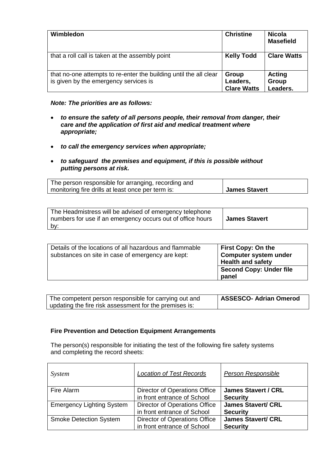| Wimbledon                                                                                                  | <b>Christine</b>                        | <b>Nicola</b><br><b>Masefield</b>  |
|------------------------------------------------------------------------------------------------------------|-----------------------------------------|------------------------------------|
| that a roll call is taken at the assembly point                                                            | <b>Kelly Todd</b>                       | <b>Clare Watts</b>                 |
| that no-one attempts to re-enter the building until the all clear<br>is given by the emergency services is | Group<br>Leaders,<br><b>Clare Watts</b> | <b>Acting</b><br>Group<br>Leaders. |

## *Note: The priorities are as follows:*

- *to ensure the safety of all persons people, their removal from danger, their care and the application of first aid and medical treatment where appropriate;*
- *to call the emergency services when appropriate;*
- *to safeguard the premises and equipment, if this is possible without putting persons at risk.*

| The person responsible for arranging, recording and |               |
|-----------------------------------------------------|---------------|
| monitoring fire drills at least once per term is:   | James Stavert |

| The Headmistress will be advised of emergency telephone<br>numbers for use if an emergency occurs out of office hours | <b>James Stavert</b> |
|-----------------------------------------------------------------------------------------------------------------------|----------------------|
| by:                                                                                                                   |                      |

| Details of the locations of all hazardous and flammable<br>substances on site in case of emergency are kept: | <b>First Copy: On the</b><br><b>Computer system under</b><br><b>Health and safety</b> |
|--------------------------------------------------------------------------------------------------------------|---------------------------------------------------------------------------------------|
|                                                                                                              | <b>Second Copy: Under file</b><br>panel                                               |

| The competent person responsible for carrying out and  | ASSESCO- Adrian Omerod |
|--------------------------------------------------------|------------------------|
| updating the fire risk assessment for the premises is: |                        |

## **Fire Prevention and Detection Equipment Arrangements**

The person(s) responsible for initiating the test of the following fire safety systems and completing the record sheets:

| System                           | <b>Location of Test Records</b>                              | Person Responsible                            |
|----------------------------------|--------------------------------------------------------------|-----------------------------------------------|
| Fire Alarm                       | Director of Operations Office<br>in front entrance of School | <b>James Stavert / CRL</b><br><b>Security</b> |
| <b>Emergency Lighting System</b> | Director of Operations Office<br>in front entrance of School | <b>James Stavert/ CRL</b><br><b>Security</b>  |
| <b>Smoke Detection System</b>    | Director of Operations Office<br>in front entrance of School | <b>James Stavert/ CRL</b><br><b>Security</b>  |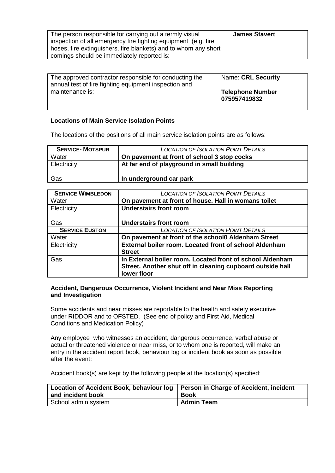| The approved contractor responsible for conducting the<br>annual test of fire fighting equipment inspection and<br>maintenance is: | <b>Name: CRL Security</b>        |
|------------------------------------------------------------------------------------------------------------------------------------|----------------------------------|
|                                                                                                                                    | Telephone Number<br>075957419832 |

#### **Locations of Main Service Isolation Points**

The locations of the positions of all main service isolation points are as follows:

| <b>SERVICE-MOTSPUR</b> | <b>LOCATION OF ISOLATION POINT DETAILS</b>  |
|------------------------|---------------------------------------------|
| Water                  | On pavement at front of school 3 stop cocks |
| Electricity            | At far end of playground in small building  |
| Gas                    | In underground car park                     |

| <b>SERVICE WIMBLEDON</b> | <b>LOCATION OF ISOLATION POINT DETAILS</b>                 |  |
|--------------------------|------------------------------------------------------------|--|
| Water                    | On pavement at front of house. Hall in womans toilet       |  |
| Electricity              | <b>Understairs front room</b>                              |  |
|                          |                                                            |  |
| Gas                      | <b>Understairs front room</b>                              |  |
| <b>SERVICE EUSTON</b>    | <b>LOCATION OF ISOLATION POINT DETAILS</b>                 |  |
| Water                    | On pavement at front of the school Aldenham Street         |  |
| Electricity              | External boiler room. Located front of school Aldenham     |  |
|                          | <b>Street</b>                                              |  |
| Gas                      | In External boiler room. Located front of school Aldenham  |  |
|                          | Street. Another shut off in cleaning cupboard outside hall |  |
|                          | lower floor                                                |  |

#### **Accident, Dangerous Occurrence, Violent Incident and Near Miss Reporting and Investigation**

Some accidents and near misses are reportable to the health and safety executive under RIDDOR and to OFSTED. (See end of policy and First Aid, Medical Conditions and Medication Policy)

Any employee who witnesses an accident, dangerous occurrence, verbal abuse or actual or threatened violence or near miss, or to whom one is reported, will make an entry in the accident report book, behaviour log or incident book as soon as possible after the event:

Accident book(s) are kept by the following people at the location(s) specified:

| Location of Accident Book, behaviour log   Person in Charge of Accident, incident<br>and incident book | <b>Book</b>       |
|--------------------------------------------------------------------------------------------------------|-------------------|
| School admin system                                                                                    | <b>Admin Team</b> |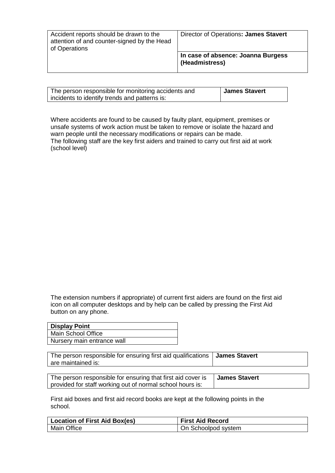| Accident reports should be drawn to the<br>attention of and counter-signed by the Head | Director of Operations: James Stavert                |
|----------------------------------------------------------------------------------------|------------------------------------------------------|
| of Operations                                                                          | In case of absence: Joanna Burgess<br>(Headmistress) |

| The person responsible for monitoring accidents and | <b>James Stavert</b> |
|-----------------------------------------------------|----------------------|
| incidents to identify trends and patterns is:       |                      |

Where accidents are found to be caused by faulty plant, equipment, premises or unsafe systems of work action must be taken to remove or isolate the hazard and warn people until the necessary modifications or repairs can be made. The following staff are the key first aiders and trained to carry out first aid at work (school level)

The extension numbers if appropriate) of current first aiders are found on the first aid icon on all computer desktops and by help can be called by pressing the First Aid button on any phone.

| <b>Display Point</b>       |
|----------------------------|
| Main School Office         |
| Nursery main entrance wall |

| The person responsible for ensuring first aid qualifications   James Stavert |  |
|------------------------------------------------------------------------------|--|
| are maintained is:                                                           |  |

| The person responsible for ensuring that first aid cover is $\Box$ James Stavert |  |
|----------------------------------------------------------------------------------|--|
| provided for staff working out of normal school hours is:                        |  |

First aid boxes and first aid record books are kept at the following points in the school.

| <b>Location of First Aid Box(es)</b> | <b>First Aid Record</b> |
|--------------------------------------|-------------------------|
| <b>Main Office</b>                   | On Schoolpod system     |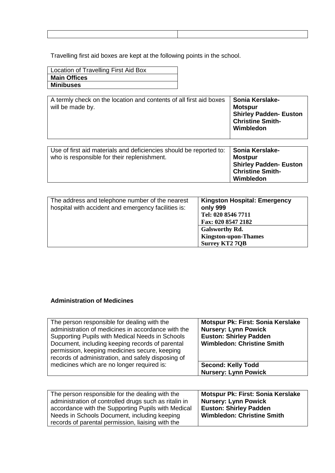Travelling first aid boxes are kept at the following points in the school.

| Location of Travelling First Aid Box |
|--------------------------------------|
| <b>Main Offices</b>                  |
| <b>Minibuses</b>                     |

| A termly check on the location and contents of all first aid boxes<br>will be made by. | Sonia Kerslake-<br><b>Motspur</b><br><b>Shirley Padden- Euston</b><br><b>Christine Smith-</b><br>Wimbledon |
|----------------------------------------------------------------------------------------|------------------------------------------------------------------------------------------------------------|
| Use of first aid materials and deficiencies should be reported to:                     | <b>Sonia Kerslake-</b>                                                                                     |

| who is responsible for their replenishment. | Mostpur                       |
|---------------------------------------------|-------------------------------|
|                                             |                               |
|                                             | <b>Shirley Padden- Euston</b> |
|                                             | <b>Christine Smith-</b>       |
|                                             | Wimbledon                     |

| The address and telephone number of the nearest<br>hospital with accident and emergency facilities is: | <b>Kingston Hospital: Emergency</b><br>only 999<br>Tel: 020 8546 7711<br>Fax: 020 8547 2182 |
|--------------------------------------------------------------------------------------------------------|---------------------------------------------------------------------------------------------|
|                                                                                                        | <b>Galsworthy Rd.</b><br><b>Kingston-upon-Thames</b><br><b>Surrey KT2 7QB</b>               |

# **Administration of Medicines**

| The person responsible for dealing with the<br>administration of medicines in accordance with the<br>Supporting Pupils with Medical Needs in Schools<br>Document, including keeping records of parental<br>permission, keeping medicines secure, keeping<br>records of administration, and safely disposing of | <b>Motspur Pk: First: Sonia Kerslake</b><br><b>Nursery: Lynn Powick</b><br><b>Euston: Shirley Padden</b><br><b>Wimbledon: Christine Smith</b> |
|----------------------------------------------------------------------------------------------------------------------------------------------------------------------------------------------------------------------------------------------------------------------------------------------------------------|-----------------------------------------------------------------------------------------------------------------------------------------------|
| medicines which are no longer required is:                                                                                                                                                                                                                                                                     | <b>Second: Kelly Todd</b><br><b>Nursery: Lynn Powick</b>                                                                                      |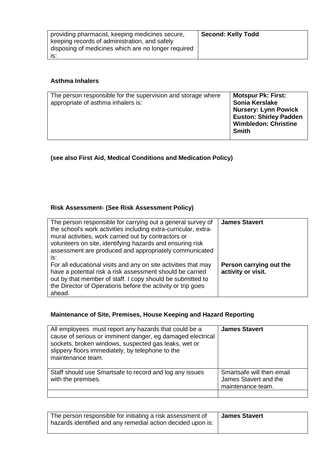| providing pharmacist, keeping medicines secure,     | <b>Second: Kelly Todd</b> |
|-----------------------------------------------------|---------------------------|
|                                                     |                           |
| keeping records of administration, and safely       |                           |
| disposing of medicines which are no longer required |                           |
| IS:                                                 |                           |

# **Asthma Inhalers**

| The person responsible for the supervision and storage where<br>appropriate of asthma inhalers is: | <b>Motspur Pk: First:</b><br>Sonia Kerslake<br><b>Nursery: Lynn Powick</b><br><b>Euston: Shirley Padden</b><br><b>Wimbledon: Christine</b><br><b>Smith</b> |
|----------------------------------------------------------------------------------------------------|------------------------------------------------------------------------------------------------------------------------------------------------------------|
|----------------------------------------------------------------------------------------------------|------------------------------------------------------------------------------------------------------------------------------------------------------------|

**(see also First Aid, Medical Conditions and Medication Policy)**

# **Risk Assessment- (See Risk Assessment Policy)**

| The person responsible for carrying out a general survey of<br>the school's work activities including extra-curricular, extra-<br>mural activities, work carried out by contractors or<br>volunteers on site, identifying hazards and ensuring risk<br>assessment are produced and appropriately communicated | <b>James Stavert</b>                          |
|---------------------------------------------------------------------------------------------------------------------------------------------------------------------------------------------------------------------------------------------------------------------------------------------------------------|-----------------------------------------------|
| is:<br>For all educational visits and any on site activities that may<br>have a potential risk a risk assessment should be carried<br>out by that member of staff. I copy should be submitted to<br>the Director of Operations before the activity or trip goes<br>ahead.                                     | Person carrying out the<br>activity or visit. |

# **Maintenance of Site, Premises, House Keeping and Hazard Reporting**

| All employees must report any hazards that could be a<br>cause of serious or imminent danger, eg damaged electrical<br>sockets, broken windows, suspected gas leaks, wet or<br>slippery floors immediately, by telephone to the<br>maintenance team. | <b>James Stavert</b>                                                    |
|------------------------------------------------------------------------------------------------------------------------------------------------------------------------------------------------------------------------------------------------------|-------------------------------------------------------------------------|
| Staff should use Smartsafe to record and log any issues<br>with the premises.                                                                                                                                                                        | Smartsafe will then email<br>James Stavert and the<br>maintenance team. |

| The person responsible for initiating a risk assessment of<br>hazards identified and any remedial action decided upon is: | <b>James Stavert</b> |
|---------------------------------------------------------------------------------------------------------------------------|----------------------|
|---------------------------------------------------------------------------------------------------------------------------|----------------------|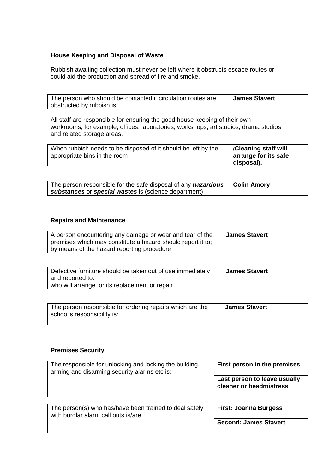## **House Keeping and Disposal of Waste**

Rubbish awaiting collection must never be left where it obstructs escape routes or could aid the production and spread of fire and smoke.

| The person who should be contacted if circulation routes are | <b>James Stavert</b> |
|--------------------------------------------------------------|----------------------|
| obstructed by rubbish is:                                    |                      |

All staff are responsible for ensuring the good house keeping of their own workrooms, for example, offices, laboratories, workshops, art studios, drama studios and related storage areas.

| When rubbish needs to be disposed of it should be left by the | (Cleaning staff will |
|---------------------------------------------------------------|----------------------|
| appropriate bins in the room                                  | arrange for its safe |
|                                                               | disposal).           |

| The person responsible for the safe disposal of any <i>hazardous</i>   Colin Amory |  |
|------------------------------------------------------------------------------------|--|
| substances or special wastes is (science department)                               |  |

## **Repairs and Maintenance**

| A person encountering any damage or wear and tear of the    | <b>James Stavert</b> |
|-------------------------------------------------------------|----------------------|
| premises which may constitute a hazard should report it to: |                      |
| by means of the hazard reporting procedure                  |                      |

| Defective furniture should be taken out of use immediately | <b>James Stavert</b> |
|------------------------------------------------------------|----------------------|
| and reported to:                                           |                      |
| who will arrange for its replacement or repair             |                      |

| The person responsible for ordering repairs which are the | <b>James Stavert</b> |
|-----------------------------------------------------------|----------------------|
| school's responsibility is:                               |                      |
|                                                           |                      |

# **Premises Security**

| The responsible for unlocking and locking the building,<br>arming and disarming security alarms etc is: | First person in the premises                            |
|---------------------------------------------------------------------------------------------------------|---------------------------------------------------------|
|                                                                                                         | Last person to leave usually<br>cleaner or headmistress |
| The person(s) who has/have been trained to deal safely                                                  | <b>First: Joanna Burgess</b>                            |
| with burglar alarm call outs is/are                                                                     | <b>Second: James Stavert</b>                            |
|                                                                                                         |                                                         |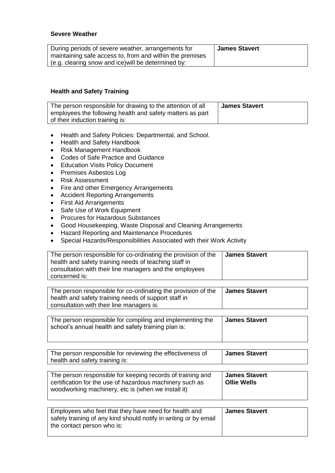# **Severe Weather**

| During periods of severe weather, arrangements for       | <b>James Stavert</b> |
|----------------------------------------------------------|----------------------|
| maintaining safe access to, from and within the premises |                      |
| (e.g. clearing snow and ice) will be determined by:      |                      |

# **Health and Safety Training**

| The person responsible for drawing to the attention of all | <b>James Stavert</b> |
|------------------------------------------------------------|----------------------|
| employees the following health and safety matters as part  |                      |
| of their induction training is:                            |                      |

- Health and Safety Policies: Departmental, and School.
- Health and Safety Handbook
- Risk Management Handbook
- Codes of Safe Practice and Guidance
- Education Visits Policy Document
- Premises Asbestos Log
- Risk Assessment
- Fire and other Emergency Arrangements
- Accident Reporting Arrangements
- First Aid Arrangements
- Safe Use of Work Equipment
- Procures for Hazardous Substances
- Good Housekeeping, Waste Disposal and Cleaning Arrangements
- Hazard Reporting and Maintenance Procedures
- Special Hazards/Responsibilities Associated with their Work Activity

| The person responsible for co-ordinating the provision of the<br>health and safety training needs of teaching staff in<br>consultation with their line managers and the employees<br>concerned is: | <b>James Stavert</b> |
|----------------------------------------------------------------------------------------------------------------------------------------------------------------------------------------------------|----------------------|
|----------------------------------------------------------------------------------------------------------------------------------------------------------------------------------------------------|----------------------|

| The person responsible for co-ordinating the provision of the | <b>James Stavert</b> |
|---------------------------------------------------------------|----------------------|
| health and safety training needs of support staff in          |                      |
| consultation with their line managers is:                     |                      |

| The person responsible for compiling and implementing the | <b>James Stavert</b> |
|-----------------------------------------------------------|----------------------|
| school's annual health and safety training plan is:       |                      |
|                                                           |                      |

| The person responsible for reviewing the effectiveness of<br>health and safety training is: | <b>James Stavert</b> |
|---------------------------------------------------------------------------------------------|----------------------|
|                                                                                             |                      |
|                                                                                             |                      |

| The person responsible for keeping records of training and<br>certification for the use of hazardous machinery such as<br>woodworking machinery, etc is (when we install it) | James Stavert<br><b>Ollie Wells</b> |
|------------------------------------------------------------------------------------------------------------------------------------------------------------------------------|-------------------------------------|
|                                                                                                                                                                              |                                     |

| Employees who feel that they have need for health and            | <b>James Stavert</b> |
|------------------------------------------------------------------|----------------------|
| safety training of any kind should notify in writing or by email |                      |
| the contact person who is:                                       |                      |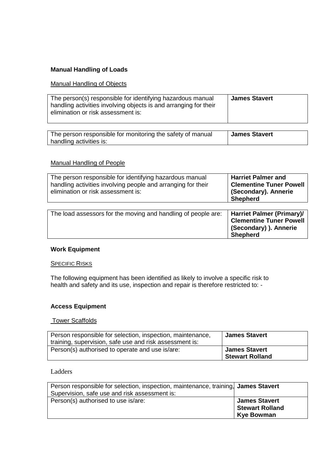#### **Manual Handling of Loads**

#### Manual Handling of Objects

| The person(s) responsible for identifying hazardous manual<br>handling activities involving objects is and arranging for their<br>elimination or risk assessment is: | <b>James Stavert</b> |
|----------------------------------------------------------------------------------------------------------------------------------------------------------------------|----------------------|
| The person reaponsible for menitoring the octobe of monual                                                                                                           | $l$ amaa Ciavaut     |

The person responsible for monitoring the safety of manual handling activities is: **James Stavert**

#### Manual Handling of People

| The person responsible for identifying hazardous manual<br>handling activities involving people and arranging for their<br>elimination or risk assessment is: | <b>Harriet Palmer and</b><br><b>Clementine Tuner Powell</b><br>(Secondary). Annerie<br><b>Shepherd</b>          |
|---------------------------------------------------------------------------------------------------------------------------------------------------------------|-----------------------------------------------------------------------------------------------------------------|
| The load assessors for the moving and handling of people are:                                                                                                 | <b>Harriet Palmer (Primary)/</b><br><b>Clementine Tuner Powell</b><br>(Secondary) ). Annerie<br><b>Shepherd</b> |

## **Work Equipment**

#### **SPECIFIC RISKS**

The following equipment has been identified as likely to involve a specific risk to health and safety and its use, inspection and repair is therefore restricted to: -

#### **Access Equipment**

#### Tower Scaffolds

| Person responsible for selection, inspection, maintenance,<br>training, supervision, safe use and risk assessment is: | <b>James Stavert</b>                           |
|-----------------------------------------------------------------------------------------------------------------------|------------------------------------------------|
| Person(s) authorised to operate and use is/are:                                                                       | <b>James Stavert</b><br><b>Stewart Rolland</b> |

## Ladders

| Person responsible for selection, inspection, maintenance, training, James Stavert |                        |
|------------------------------------------------------------------------------------|------------------------|
| Supervision, safe use and risk assessment is:                                      |                        |
| Person(s) authorised to use is/are:                                                | <b>James Stavert</b>   |
|                                                                                    | <b>Stewart Rolland</b> |
|                                                                                    | <b>Kye Bowman</b>      |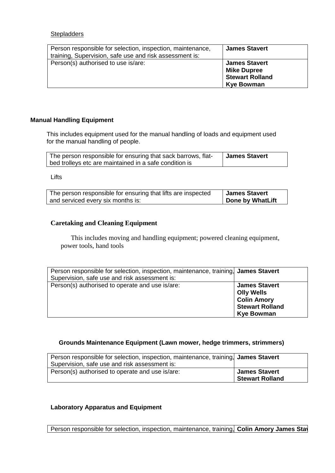## **Stepladders**

| Person responsible for selection, inspection, maintenance,<br>training, Supervision, safe use and risk assessment is: | <b>James Stavert</b>                                                                      |
|-----------------------------------------------------------------------------------------------------------------------|-------------------------------------------------------------------------------------------|
| Person(s) authorised to use is/are:                                                                                   | <b>James Stavert</b><br><b>Mike Dupree</b><br><b>Stewart Rolland</b><br><b>Kye Bowman</b> |

#### **Manual Handling Equipment**

This includes equipment used for the manual handling of loads and equipment used for the manual handling of people.

| The person responsible for ensuring that sack barrows, flat- | <b>James Stavert</b> |
|--------------------------------------------------------------|----------------------|
| bed trolleys etc are maintained in a safe condition is       |                      |

Lifts

| The person responsible for ensuring that lifts are inspected | James Stavert    |
|--------------------------------------------------------------|------------------|
| and serviced every six months is:                            | Done by WhatLift |

## **Caretaking and Cleaning Equipment**

This includes moving and handling equipment; powered cleaning equipment, power tools, hand tools

| Person responsible for selection, inspection, maintenance, training, James Stavert<br>Supervision, safe use and risk assessment is: |                                                                                                                |
|-------------------------------------------------------------------------------------------------------------------------------------|----------------------------------------------------------------------------------------------------------------|
| Person(s) authorised to operate and use is/are:                                                                                     | <b>James Stavert</b><br><b>Olly Wells</b><br><b>Colin Amory</b><br><b>Stewart Rolland</b><br><b>Kye Bowman</b> |

## **Grounds Maintenance Equipment (Lawn mower, hedge trimmers, strimmers)**

| Person responsible for selection, inspection, maintenance, training, James Stavert |                        |
|------------------------------------------------------------------------------------|------------------------|
| Supervision, safe use and risk assessment is:                                      |                        |
| Person(s) authorised to operate and use is/are:                                    | <b>James Stavert</b>   |
|                                                                                    | <b>Stewart Rolland</b> |

## **Laboratory Apparatus and Equipment**

Person responsible for selection, inspection, maintenance, training, **Colin Amory James Stav**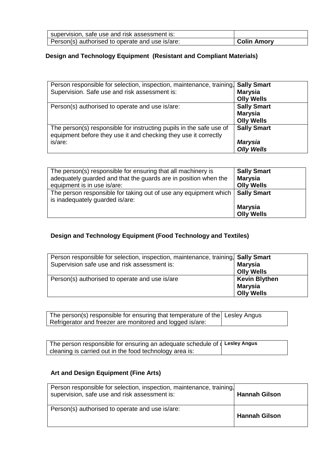| supervision, safe use and risk assessment is:   |             |
|-------------------------------------------------|-------------|
| Person(s) authorised to operate and use is/are: | Colin Amory |

# **Design and Technology Equipment (Resistant and Compliant Materials)**

| Person responsible for selection, inspection, maintenance, training,                                                                   | <b>Sally Smart</b>                  |
|----------------------------------------------------------------------------------------------------------------------------------------|-------------------------------------|
| Supervision. Safe use and risk assessment is:                                                                                          | <b>Marysia</b>                      |
|                                                                                                                                        | <b>Olly Wells</b>                   |
| Person(s) authorised to operate and use is/are:                                                                                        | <b>Sally Smart</b>                  |
|                                                                                                                                        | <b>Marysia</b>                      |
|                                                                                                                                        | <b>Olly Wells</b>                   |
| The person(s) responsible for instructing pupils in the safe use of<br>equipment before they use it and checking they use it correctly | <b>Sally Smart</b>                  |
| is/are:                                                                                                                                | <b>Marysia</b><br><b>Olly Wells</b> |

| The person(s) responsible for ensuring that all machinery is     | <b>Sally Smart</b> |
|------------------------------------------------------------------|--------------------|
| adequately guarded and that the guards are in position when the  | <b>Marysia</b>     |
| equipment is in use is/are:                                      | <b>Olly Wells</b>  |
| The person responsible for taking out of use any equipment which | <b>Sally Smart</b> |
| is inadequately guarded is/are:                                  | <b>Marysia</b>     |
|                                                                  | <b>Olly Wells</b>  |

# **Design and Technology Equipment (Food Technology and Textiles)**

| Person responsible for selection, inspection, maintenance, training, Sally Smart | <b>Marysia</b>                                       |
|----------------------------------------------------------------------------------|------------------------------------------------------|
| Supervision safe use and risk assessment is:                                     | <b>Olly Wells</b>                                    |
| Person(s) authorised to operate and use is/are                                   | <b>Kevin Blythen</b><br>Marysia<br><b>Olly Wells</b> |

The person(s) responsible for ensuring that temperature of the Lesley Angus Refrigerator and freezer are monitored and logged is/are:

| The person responsible for ensuring an adequate schedule of $\sqrt{ }$ Lesley Angus |  |
|-------------------------------------------------------------------------------------|--|
| cleaning is carried out in the food technology area is:                             |  |

# **Art and Design Equipment (Fine Arts)**

| Person responsible for selection, inspection, maintenance, training,<br>supervision, safe use and risk assessment is: | <b>Hannah Gilson</b> |
|-----------------------------------------------------------------------------------------------------------------------|----------------------|
| Person(s) authorised to operate and use is/are:                                                                       | <b>Hannah Gilson</b> |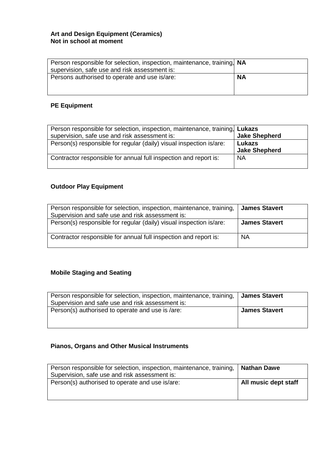## **Art and Design Equipment (Ceramics) Not in school at moment**

| Person responsible for selection, inspection, maintenance, training, NA<br>supervision, safe use and risk assessment is: |           |
|--------------------------------------------------------------------------------------------------------------------------|-----------|
| Persons authorised to operate and use is/are:                                                                            | <b>NA</b> |
|                                                                                                                          |           |

# **PE Equipment**

| Person responsible for selection, inspection, maintenance, training, Lukazs |                                |
|-----------------------------------------------------------------------------|--------------------------------|
| supervision, safe use and risk assessment is:                               | <b>Jake Shepherd</b>           |
| Person(s) responsible for regular (daily) visual inspection is/are:         | Lukazs<br><b>Jake Shepherd</b> |
| Contractor responsible for annual full inspection and report is:            | <b>NA</b>                      |

# **Outdoor Play Equipment**

| Person responsible for selection, inspection, maintenance, training,<br>Supervision and safe use and risk assessment is: | <b>James Stavert</b> |
|--------------------------------------------------------------------------------------------------------------------------|----------------------|
| Person(s) responsible for regular (daily) visual inspection is/are:                                                      | <b>James Stavert</b> |
| Contractor responsible for annual full inspection and report is:                                                         | <b>NA</b>            |

# **Mobile Staging and Seating**

| Person responsible for selection, inspection, maintenance, training,<br>Supervision and safe use and risk assessment is: | James Stavert        |
|--------------------------------------------------------------------------------------------------------------------------|----------------------|
| Person(s) authorised to operate and use is /are:                                                                         | <b>James Stavert</b> |
|                                                                                                                          |                      |

# **Pianos, Organs and Other Musical Instruments**

| Person responsible for selection, inspection, maintenance, training,   Nathan Dawe<br>Supervision, safe use and risk assessment is: |                      |
|-------------------------------------------------------------------------------------------------------------------------------------|----------------------|
| Person(s) authorised to operate and use is/are:                                                                                     | All music dept staff |
|                                                                                                                                     |                      |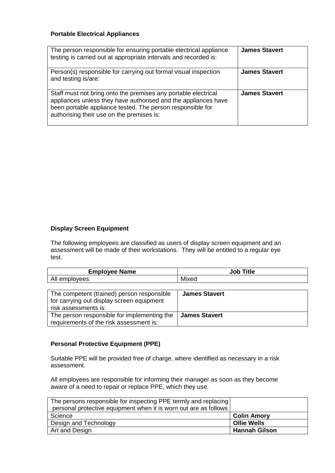## **Portable Electrical Appliances**

| The person responsible for ensuring portable electrical appliance<br>testing is carried out at appropriate intervals and recorded is:                                                                                                       | <b>James Stavert</b> |
|---------------------------------------------------------------------------------------------------------------------------------------------------------------------------------------------------------------------------------------------|----------------------|
| Person(s) responsible for carrying out formal visual inspection<br>and testing is/are:                                                                                                                                                      | <b>James Stavert</b> |
| Staff must not bring onto the premises any portable electrical<br>appliances unless they have authorised and the appliances have<br>been portable appliance tested. The person responsible for<br>authorising their use on the premises is: | <b>James Stavert</b> |

## **Display Screen Equipment**

The following employees are classified as users of display screen equipment and an assessment will be made of their workstations. They will be entitled to a regular eye test.

| <b>Employee Name</b>                                                                                                | <b>Job Title</b>     |
|---------------------------------------------------------------------------------------------------------------------|----------------------|
| All employees                                                                                                       | Mixed                |
|                                                                                                                     |                      |
| The competent (trained) person responsible<br>for carrying out display screen equipment<br>riale annoncescente in i | <b>James Stavert</b> |

risk assessments is: The person responsible for implementing the requirements of the risk assessment is: **James Stavert**

## **Personal Protective Equipment (PPE)**

Suitable PPE will be provided free of charge, where identified as necessary in a risk assessment.

All employees are responsible for informing their manager as soon as they become aware of a need to repair or replace PPE, which they use.

| The persons responsible for inspecting PPE termly and replacing  |                      |
|------------------------------------------------------------------|----------------------|
| personal protective equipment when it is worn out are as follows |                      |
| Science                                                          | <b>Colin Amory</b>   |
| Design and Technology                                            | <b>Ollie Wells</b>   |
| Art and Design                                                   | <b>Hannah Gilson</b> |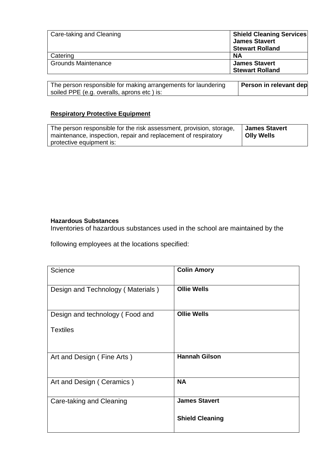| Care-taking and Cleaning   | <b>Shield Cleaning Services</b><br><b>James Stavert</b> |
|----------------------------|---------------------------------------------------------|
|                            | <b>Stewart Rolland</b>                                  |
| Catering                   | <b>NA</b>                                               |
| <b>Grounds Maintenance</b> | <b>James Stavert</b>                                    |
|                            | <b>Stewart Rolland</b>                                  |

The person responsible for making arrangements for laundering soiled PPE (e.g. overalls, aprons etc ) is: **Person in relevant dep** 

# **Respiratory Protective Equipment**

| The person responsible for the risk assessment, provision, storage, | <b>James Stavert</b> |
|---------------------------------------------------------------------|----------------------|
| maintenance, inspection, repair and replacement of respiratory      | Olly Wells           |
| protective equipment is:                                            |                      |

## **Hazardous Substances**

Inventories of hazardous substances used in the school are maintained by the

following employees at the locations specified:

| Science                           | <b>Colin Amory</b>     |
|-----------------------------------|------------------------|
| Design and Technology (Materials) | <b>Ollie Wells</b>     |
| Design and technology (Food and   | <b>Ollie Wells</b>     |
| <b>Textiles</b>                   |                        |
| Art and Design (Fine Arts)        | <b>Hannah Gilson</b>   |
| Art and Design (Ceramics)         | <b>NA</b>              |
| Care-taking and Cleaning          | <b>James Stavert</b>   |
|                                   | <b>Shield Cleaning</b> |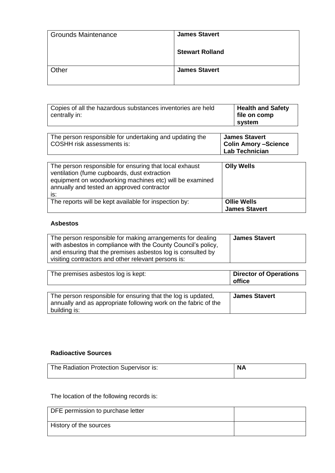| <b>Grounds Maintenance</b> | <b>James Stavert</b>   |
|----------------------------|------------------------|
|                            | <b>Stewart Rolland</b> |
| Other                      | <b>James Stavert</b>   |

| Copies of all the hazardous substances inventories are held<br>centrally in:          | <b>Health and Safety</b><br>file on comp<br>system                           |
|---------------------------------------------------------------------------------------|------------------------------------------------------------------------------|
| The person responsible for undertaking and updating the<br>COSHH risk assessments is: | <b>James Stavert</b><br><b>Colin Amory -Science</b><br><b>Lab Technician</b> |
| .                                                                                     |                                                                              |

| The person responsible for ensuring that local exhaust<br>ventilation (fume cupboards, dust extraction<br>equipment on woodworking machines etc) will be examined<br>annually and tested an approved contractor<br>is: | <b>Olly Wells</b>                          |
|------------------------------------------------------------------------------------------------------------------------------------------------------------------------------------------------------------------------|--------------------------------------------|
| The reports will be kept available for inspection by:                                                                                                                                                                  | <b>Ollie Wells</b><br><b>James Stavert</b> |

# **Asbestos**

| The person responsible for making arrangements for dealing<br>with asbestos in compliance with the County Council's policy,<br>and ensuring that the premises asbestos log is consulted by<br>visiting contractors and other relevant persons is: | James Stavert |
|---------------------------------------------------------------------------------------------------------------------------------------------------------------------------------------------------------------------------------------------------|---------------|
|---------------------------------------------------------------------------------------------------------------------------------------------------------------------------------------------------------------------------------------------------|---------------|

| <b>Director of Operations</b><br>office |
|-----------------------------------------|
| <b>James Stavert</b>                    |
|                                         |
|                                         |

# **Radioactive Sources**

| The Radiation Protection Supervisor is: | <b>NA</b> |
|-----------------------------------------|-----------|
|                                         |           |

# The location of the following records is:

| DFE permission to purchase letter |  |
|-----------------------------------|--|
| History of the sources            |  |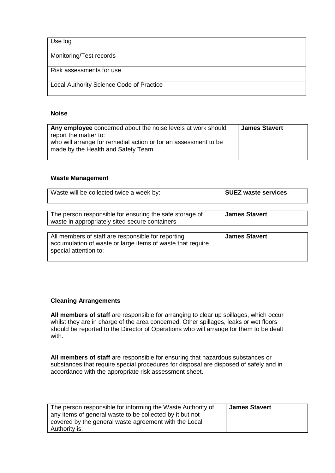| Use log                                  |  |
|------------------------------------------|--|
| Monitoring/Test records                  |  |
| Risk assessments for use                 |  |
| Local Authority Science Code of Practice |  |

## **Noise**

| Any employee concerned about the noise levels at work should    | <b>James Stavert</b> |
|-----------------------------------------------------------------|----------------------|
| report the matter to:                                           |                      |
| who will arrange for remedial action or for an assessment to be |                      |
| made by the Health and Safety Team                              |                      |
|                                                                 |                      |

#### **Waste Management**

| Waste will be collected twice a week by:                                                                                                  | <b>SUEZ waste services</b> |
|-------------------------------------------------------------------------------------------------------------------------------------------|----------------------------|
| The person responsible for ensuring the safe storage of<br>waste in appropriately sited secure containers                                 | <b>James Stavert</b>       |
| All members of staff are responsible for reporting<br>accumulation of waste or large items of waste that require<br>special attention to: | <b>James Stavert</b>       |

## **Cleaning Arrangements**

**All members of staff** are responsible for arranging to clear up spillages, which occur whilst they are in charge of the area concerned. Other spillages, leaks or wet floors should be reported to the Director of Operations who will arrange for them to be dealt with.

**All members of staff** are responsible for ensuring that hazardous substances or substances that require special procedures for disposal are disposed of safely and in accordance with the appropriate risk assessment sheet.

| The person responsible for informing the Waste Authority of | <b>James Stavert</b> |
|-------------------------------------------------------------|----------------------|
| any items of general waste to be collected by it but not    |                      |
| covered by the general waste agreement with the Local       |                      |
| Authority is:                                               |                      |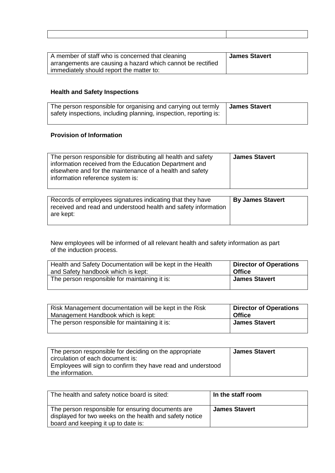| A member of staff who is concerned that cleaning<br>arrangements are causing a hazard which cannot be rectified | James Stavert |
|-----------------------------------------------------------------------------------------------------------------|---------------|
| immediately should report the matter to:                                                                        |               |

# **Health and Safety Inspections**

| The person responsible for organising and carrying out termly<br>safety inspections, including planning, inspection, reporting is: | <b>James Stavert</b> |
|------------------------------------------------------------------------------------------------------------------------------------|----------------------|
|------------------------------------------------------------------------------------------------------------------------------------|----------------------|

# **Provision of Information**

|  | The person responsible for distributing all health and safety<br>information received from the Education Department and<br>elsewhere and for the maintenance of a health and safety<br>information reference system is: | <b>James Stavert</b> |
|--|-------------------------------------------------------------------------------------------------------------------------------------------------------------------------------------------------------------------------|----------------------|
|--|-------------------------------------------------------------------------------------------------------------------------------------------------------------------------------------------------------------------------|----------------------|

| Records of employees signatures indicating that they have      | <b>By James Stavert</b> |
|----------------------------------------------------------------|-------------------------|
| received and read and understood health and safety information |                         |
| are kept:                                                      |                         |
|                                                                |                         |

New employees will be informed of all relevant health and safety information as part of the induction process.

| Health and Safety Documentation will be kept in the Health | <b>Director of Operations</b> |
|------------------------------------------------------------|-------------------------------|
| and Safety handbook which is kept:                         | <b>Office</b>                 |
| The person responsible for maintaining it is:              | <b>James Stavert</b>          |

| Risk Management documentation will be kept in the Risk | <b>Director of Operations</b> |
|--------------------------------------------------------|-------------------------------|
| Management Handbook which is kept:                     | <b>Office</b>                 |
| The person responsible for maintaining it is:          | <b>James Stavert</b>          |

| The person responsible for deciding on the appropriate       | <b>James Stavert</b> |
|--------------------------------------------------------------|----------------------|
| circulation of each document is:                             |                      |
| Employees will sign to confirm they have read and understood |                      |
| the information.                                             |                      |

| The health and safety notice board is sited:                                                                                                        | In the staff room    |
|-----------------------------------------------------------------------------------------------------------------------------------------------------|----------------------|
| The person responsible for ensuring documents are<br>displayed for two weeks on the health and safety notice<br>board and keeping it up to date is: | <b>James Stavert</b> |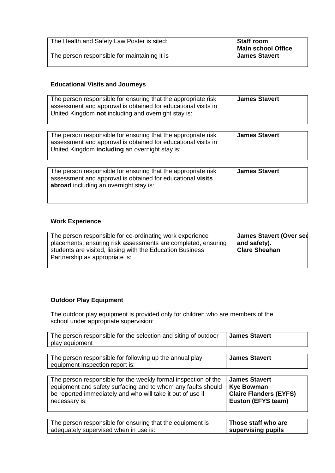| The Health and Safety Law Poster is sited:   | Staff room<br>Main school Office |
|----------------------------------------------|----------------------------------|
| The person responsible for maintaining it is | <b>James Stavert</b>             |

# **Educational Visits and Journeys**

| The person responsible for ensuring that the appropriate risk<br>assessment and approval is obtained for educational visits in<br>United Kingdom not including and overnight stay is: | <b>James Stavert</b> |
|---------------------------------------------------------------------------------------------------------------------------------------------------------------------------------------|----------------------|
| The person responsible for ensuring that the appropriate risk<br>assessment and approval is obtained for educational visits in<br>United Kingdom including an overnight stay is:      | <b>James Stavert</b> |
| The person responsible for ensuring that the appropriate risk<br>assessment and approval is obtained for educational visits<br>abroad including an overnight stay is:                 | <b>James Stavert</b> |

# **Work Experience**

| Partnership as appropriate is: | The person responsible for co-ordinating work experience<br>placements, ensuring risk assessments are completed, ensuring<br>students are visited, liasing with the Education Business | <b>James Stavert (Over see</b><br>and safety).<br><b>Clare Sheahan</b> |
|--------------------------------|----------------------------------------------------------------------------------------------------------------------------------------------------------------------------------------|------------------------------------------------------------------------|
|--------------------------------|----------------------------------------------------------------------------------------------------------------------------------------------------------------------------------------|------------------------------------------------------------------------|

# **Outdoor Play Equipment**

The outdoor play equipment is provided only for children who are members of the school under appropriate supervision:

| The person responsible for the selection and siting of outdoor<br>play equipment           | <b>James Stavert</b>          |
|--------------------------------------------------------------------------------------------|-------------------------------|
| The person responsible for following up the annual play<br>equipment inspection report is: | <b>James Stavert</b>          |
| The person responsible for the weekly formal inspection of the                             | <b>James Stavert</b>          |
| equipment and safety surfacing and to whom any faults should                               | <b>Kye Bowman</b>             |
| be reported immediately and who will take it out of use if                                 | <b>Claire Flanders (EYFS)</b> |
| necessary is:                                                                              | Euston (EFYS team)            |
| The person responsible for ensuring that the equipment is                                  | Those staff who are           |
| adequately supervised when in use is:                                                      | supervising pupils            |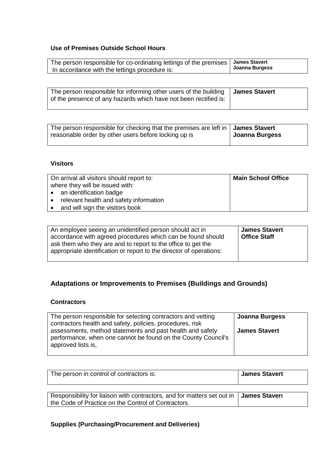# **Use of Premises Outside School Hours**

| The person responsible for co-ordinating lettings of the premises   James Stavert |                |
|-----------------------------------------------------------------------------------|----------------|
| In accordance with the lettings procedure is:                                     | Joanna Burgess |

| The person responsible for informing other users of the building<br>of the presence of any hazards which have not been rectified is: | ∣ James Stavert |
|--------------------------------------------------------------------------------------------------------------------------------------|-----------------|
|                                                                                                                                      |                 |

| The person responsible for checking that the premises are left in $\vert$ James Stavert<br>reasonable order by other users before locking up is | Joanna Burgess |
|-------------------------------------------------------------------------------------------------------------------------------------------------|----------------|
|-------------------------------------------------------------------------------------------------------------------------------------------------|----------------|

# **Visitors**

| On arrival all visitors should report to:<br>where they will be issued with: | <b>Main School Office</b> |
|------------------------------------------------------------------------------|---------------------------|
| • an identification badge                                                    |                           |
| relevant health and safety information                                       |                           |
| and will sign the visitors book                                              |                           |

| An employee seeing an unidentified person should act in<br>accordance with agreed procedures which can be found should<br>ask them who they are and to report to the office to get the<br>appropriate identification or report to the director of operations: | <b>James Stavert</b><br>Office Staff |
|---------------------------------------------------------------------------------------------------------------------------------------------------------------------------------------------------------------------------------------------------------------|--------------------------------------|
|                                                                                                                                                                                                                                                               |                                      |

# **Adaptations or Improvements to Premises (Buildings and Grounds)**

# **Contractors**

| The person responsible for selecting contractors and vetting<br>contractors health and safety, policies, procedures, risk                        | Joanna Burgess       |
|--------------------------------------------------------------------------------------------------------------------------------------------------|----------------------|
| assessments, method statements and past health and safety<br>performance, when one cannot be found on the County Council's<br>approved lists is, | <b>James Stavert</b> |

| The person in control of contractors is:                                                                                                       | <b>James Stavert</b> |
|------------------------------------------------------------------------------------------------------------------------------------------------|----------------------|
| Responsibility for liaison with contractors, and for matters set out in   James Stavert<br>the Code of Practice on the Control of Contractors. |                      |

# **Supplies (Purchasing/Procurement and Deliveries)**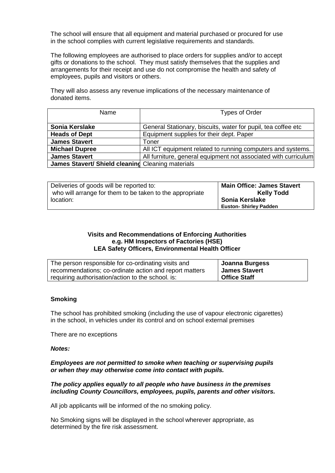The school will ensure that all equipment and material purchased or procured for use in the school complies with current legislative requirements and standards.

The following employees are authorised to place orders for supplies and/or to accept gifts or donations to the school. They must satisfy themselves that the supplies and arrangements for their receipt and use do not compromise the health and safety of employees, pupils and visitors or others.

They will also assess any revenue implications of the necessary maintenance of donated items.

| Name                                              | Types of Order                                                  |
|---------------------------------------------------|-----------------------------------------------------------------|
| Sonia Kerslake                                    | General Stationary, biscuits, water for pupil, tea coffee etc.  |
| <b>Heads of Dept</b>                              | Equipment supplies for their dept. Paper                        |
| <b>James Stavert</b>                              | Toner                                                           |
| <b>Michael Dupree</b>                             | All ICT equipment related to running computers and systems.     |
| <b>James Stavert</b>                              | All furniture, general equipment not associated with curriculum |
| James Stavert/ Shield cleaning Cleaning materials |                                                                 |

| Deliveries of goods will be reported to:                 | <b>Main Office: James Stavert</b> |
|----------------------------------------------------------|-----------------------------------|
| who will arrange for them to be taken to the appropriate | <b>Kelly Todd</b>                 |
| location:                                                | Sonia Kerslake                    |
|                                                          | <b>Euston- Shirley Padden</b>     |

#### **Visits and Recommendations of Enforcing Authorities e.g. HM Inspectors of Factories (HSE) LEA Safety Officers, Environmental Health Officer**

| The person responsible for co-ordinating visits and    | Joanna Burgess |
|--------------------------------------------------------|----------------|
| recommendations; co-ordinate action and report matters | James Stavert  |
| requiring authorisation/action to the school. is:      | Office Staff   |

## **Smoking**

The school has prohibited smoking (including the use of vapour electronic cigarettes) in the school, in vehicles under its control and on school external premises

There are no exceptions

#### *Notes:*

*Employees are not permitted to smoke when teaching or supervising pupils or when they may otherwise come into contact with pupils.* 

## *The policy applies equally to all people who have business in the premises including County Councillors, employees, pupils, parents and other visitors.*

All job applicants will be informed of the no smoking policy.

No Smoking signs will be displayed in the school wherever appropriate, as determined by the fire risk assessment.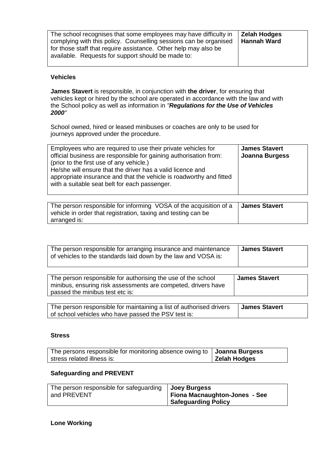| The school recognises that some employees may have difficulty in<br>complying with this policy. Counselling sessions can be organised | Zelah Hodges<br><b>Hannah Ward</b> |
|---------------------------------------------------------------------------------------------------------------------------------------|------------------------------------|
|                                                                                                                                       |                                    |
| for those staff that require assistance. Other help may also be                                                                       |                                    |
| available. Requests for support should be made to:                                                                                    |                                    |
|                                                                                                                                       |                                    |

## **Vehicles**

**James Stavert** is responsible, in conjunction with **the driver**, for ensuring that vehicles kept or hired by the school are operated in accordance with the law and with the School policy as well as information in *"Regulations for the Use of Vehicles 2000"*

School owned, hired or leased minibuses or coaches are only to be used for journeys approved under the procedure.

| Employees who are required to use their private vehicles for<br>official business are responsible for gaining authorisation from:<br>(prior to the first use of any vehicle.)<br>He/she will ensure that the driver has a valid licence and | <b>James Stavert</b><br><b>Joanna Burgess</b> |
|---------------------------------------------------------------------------------------------------------------------------------------------------------------------------------------------------------------------------------------------|-----------------------------------------------|
| appropriate insurance and that the vehicle is roadworthy and fitted<br>with a suitable seat belt for each passenger.                                                                                                                        |                                               |

| The person responsible for informing VOSA of the acquisition of a | <b>James Stavert</b> |
|-------------------------------------------------------------------|----------------------|
| vehicle in order that registration, taxing and testing can be     |                      |
| arranged is:                                                      |                      |

| The person responsible for arranging insurance and maintenance<br>of vehicles to the standards laid down by the law and VOSA is:                                 | <b>James Stavert</b> |
|------------------------------------------------------------------------------------------------------------------------------------------------------------------|----------------------|
| The person responsible for authorising the use of the school<br>minibus, ensuring risk assessments are competed, drivers have<br>passed the minibus test etc is: | <b>James Stavert</b> |
| The person responsible for maintaining a list of authorised drivers<br>of school vehicles who have passed the PSV test is:                                       | <b>James Stavert</b> |

#### **Stress**

| The persons responsible for monitoring absence owing to   Joanna Burgess |              |
|--------------------------------------------------------------------------|--------------|
| stress related illness is:                                               | Zelah Hodges |

# **Safeguarding and PREVENT**

| The person responsible for safeguarding   Joey Burgess<br>and PREVENT | Fiona Macnaughton-Jones - See |
|-----------------------------------------------------------------------|-------------------------------|
|                                                                       | <b>Safeguarding Policy</b>    |

## **Lone Working**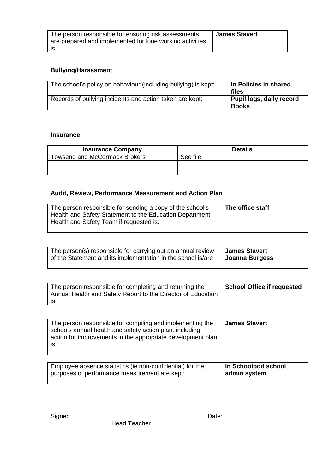| The person responsible for ensuring risk assessments     | <b>James Stavert</b> |
|----------------------------------------------------------|----------------------|
| are prepared and implemented for lone working activities |                      |
| IS.                                                      |                      |

# **Bullying/Harassment**

| The school's policy on behaviour (including bullying) is kept: | In Policies in shared<br>files           |
|----------------------------------------------------------------|------------------------------------------|
| Records of bullying incidents and action taken are kept:       | Pupil logs, daily record<br><b>Books</b> |

## **Insurance**

| <b>Insurance Company</b>             | <b>Details</b> |
|--------------------------------------|----------------|
| <b>Towsend and McCormack Brokers</b> | See file       |
|                                      |                |
|                                      |                |

# **Audit, Review, Performance Measurement and Action Plan**

| The person responsible for sending a copy of the school's<br>Health and Safety Statement to the Education Department<br>Health and Safety Team if requested is: | The office staff |
|-----------------------------------------------------------------------------------------------------------------------------------------------------------------|------------------|
|                                                                                                                                                                 |                  |

| The person(s) responsible for carrying out an annual review  | <b>James Stavert</b> |
|--------------------------------------------------------------|----------------------|
| of the Statement and its implementation in the school is/are | Joanna Burgess       |

| The person responsible for completing and returning the<br>Annual Health and Safety Report to the Director of Education | <b>School Office if requested</b> |
|-------------------------------------------------------------------------------------------------------------------------|-----------------------------------|
| l is:                                                                                                                   |                                   |

| The person responsible for compiling and implementing the<br>schools annual health and safety action plan, including<br>action for improvements in the appropriate development plan<br>IS: | <b>James Stavert</b> |
|--------------------------------------------------------------------------------------------------------------------------------------------------------------------------------------------|----------------------|
|--------------------------------------------------------------------------------------------------------------------------------------------------------------------------------------------|----------------------|

| Employee absence statistics (ie non-confidential) for the | In Schoolpod school |
|-----------------------------------------------------------|---------------------|
| purposes of performance measurement are kept:             | admin system        |
|                                                           |                     |

| <b>Head Teacher</b> |  |
|---------------------|--|

Signed ………………………………………………… Date: ……………………………….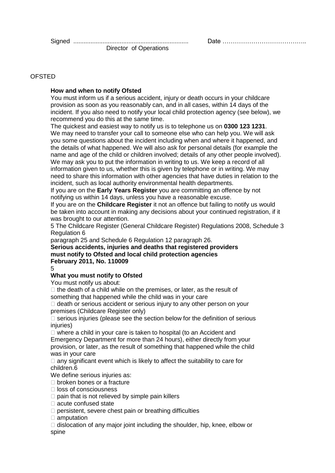## **OFSTED**

## **How and when to notify Ofsted**

You must inform us if a serious accident, injury or death occurs in your childcare provision as soon as you reasonably can, and in all cases, within 14 days of the incident. If you also need to notify your local child protection agency (see below), we recommend you do this at the same time.

The quickest and easiest way to notify us is to telephone us on **0300 123 1231**. We may need to transfer your call to someone else who can help you. We will ask you some questions about the incident including when and where it happened, and the details of what happened. We will also ask for personal details (for example the name and age of the child or children involved; details of any other people involved). We may ask you to put the information in writing to us. We keep a record of all information given to us, whether this is given by telephone or in writing. We may need to share this information with other agencies that have duties in relation to the incident, such as local authority environmental health departments.

If you are on the **Early Years Register** you are committing an offence by not notifying us within 14 days, unless you have a reasonable excuse.

If you are on the **Childcare Register** it not an offence but failing to notify us would be taken into account in making any decisions about your continued registration, if it was brought to our attention.

5 The Childcare Register (General Childcare Register) Regulations 2008, Schedule 3 Regulation 6

paragraph 25 and Schedule 6 Regulation 12 paragraph 26.

**Serious accidents, injuries and deaths that registered providers must notify to Ofsted and local child protection agencies February 2011, No. 110009**

5

# **What you must notify to Ofsted**

You must notify us about:

 $\Box$  the death of a child while on the premises, or later, as the result of something that happened while the child was in your care

 $\Box$  death or serious accident or serious injury to any other person on your premises (Childcare Register only)

 $\Box$  serious injuries (please see the section below for the definition of serious injuries)

□ where a child in your care is taken to hospital (to an Accident and Emergency Department for more than 24 hours), either directly from your provision, or later, as the result of something that happened while the child was in your care

 $\Box$  any significant event which is likely to affect the suitability to care for children.6

We define serious injuries as:

 $\Box$  broken bones or a fracture

 $\square$  loss of consciousness

 $\Box$  pain that is not relieved by simple pain killers

□ acute confused state

 $\Box$  persistent, severe chest pain or breathing difficulties

 $\square$  amputation

 $\Box$  dislocation of any major joint including the shoulder, hip, knee, elbow or spine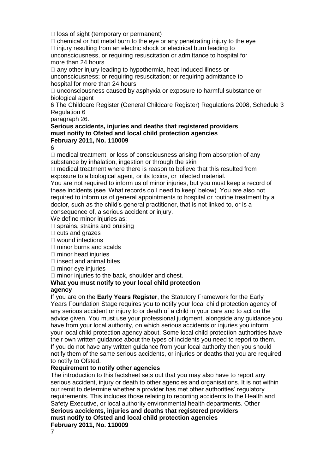$\Box$  loss of sight (temporary or permanent)

 $\Box$  chemical or hot metal burn to the eve or any penetrating injury to the eve

 $\Box$  injury resulting from an electric shock or electrical burn leading to unconsciousness, or requiring resuscitation or admittance to hospital for

more than 24 hours

 $\Box$  any other injury leading to hypothermia, heat-induced illness or unconsciousness; or requiring resuscitation; or requiring admittance to hospital for more than 24 hours

 $\Box$  unconsciousness caused by asphyxia or exposure to harmful substance or biological agent

6 The Childcare Register (General Childcare Register) Regulations 2008, Schedule 3 Regulation 6

paragraph 26.

#### **Serious accidents, injuries and deaths that registered providers must notify to Ofsted and local child protection agencies February 2011, No. 110009**

6

 $\Box$  medical treatment, or loss of consciousness arising from absorption of any substance by inhalation, ingestion or through the skin

 $\Box$  medical treatment where there is reason to believe that this resulted from exposure to a biological agent, or its toxins, or infected material.

You are not required to inform us of minor injuries, but you must keep a record of these incidents (see 'What records do I need to keep' below). You are also not required to inform us of general appointments to hospital or routine treatment by a doctor, such as the child's general practitioner, that is not linked to, or is a consequence of, a serious accident or injury.

We define minor injuries as:

- $\square$  sprains, strains and bruising
- $\Box$  cuts and grazes
- wound infections
- $\Box$  minor burns and scalds
- $\Box$  minor head injuries
- $\Box$  insect and animal bites
- $\Box$  minor eye injuries
- $\Box$  minor injuries to the back, shoulder and chest.

## **What you must notify to your local child protection**

## **agency**

If you are on the **Early Years Register**, the Statutory Framework for the Early Years Foundation Stage requires you to notify your local child protection agency of any serious accident or injury to or death of a child in your care and to act on the advice given. You must use your professional judgment, alongside any guidance you have from your local authority, on which serious accidents or injuries you inform your local child protection agency about. Some local child protection authorities have their own written guidance about the types of incidents you need to report to them. If you do not have any written guidance from your local authority then you should notify them of the same serious accidents, or injuries or deaths that you are required to notify to Ofsted.

## **Requirement to notify other agencies**

The introduction to this factsheet sets out that you may also have to report any serious accident, injury or death to other agencies and organisations. It is not within our remit to determine whether a provider has met other authorities' regulatory requirements. This includes those relating to reporting accidents to the Health and Safety Executive, or local authority environmental health departments. Other **Serious accidents, injuries and deaths that registered providers must notify to Ofsted and local child protection agencies February 2011, No. 110009**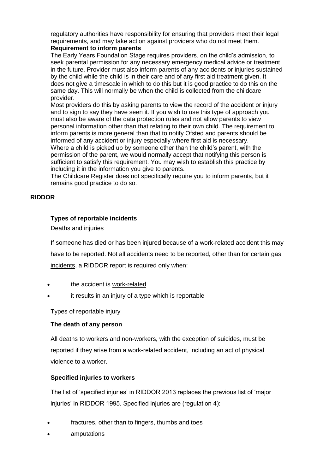regulatory authorities have responsibility for ensuring that providers meet their legal requirements, and may take action against providers who do not meet them. **Requirement to inform parents**

The Early Years Foundation Stage requires providers, on the child's admission, to seek parental permission for any necessary emergency medical advice or treatment in the future. Provider must also inform parents of any accidents or injuries sustained by the child while the child is in their care and of any first aid treatment given. It does not give a timescale in which to do this but it is good practice to do this on the same day. This will normally be when the child is collected from the childcare provider.

Most providers do this by asking parents to view the record of the accident or injury and to sign to say they have seen it. If you wish to use this type of approach you must also be aware of the data protection rules and not allow parents to view personal information other than that relating to their own child. The requirement to inform parents is more general than that to notify Ofsted and parents should be informed of any accident or injury especially where first aid is necessary.

Where a child is picked up by someone other than the child's parent, with the permission of the parent, we would normally accept that notifying this person is sufficient to satisfy this requirement. You may wish to establish this practice by including it in the information you give to parents.

The Childcare Register does not specifically require you to inform parents, but it remains good practice to do so.

## **RIDDOR**

## **Types of reportable incidents**

Deaths and injuries

If someone has died or has been injured because of a work-related accident this may have to be reported. Not all accidents need to be reported, other than for certain [gas](http://www.hse.gov.uk/riddor/reportable-incidents.htm#gas)  [incidents,](http://www.hse.gov.uk/riddor/reportable-incidents.htm#gas) a RIDDOR report is required only when:

- the accident is [work-related](http://www.hse.gov.uk/riddor/key-definitions.htm#work-related)
- it results in an injury of a type which is reportable

Types of reportable injury

## **The death of any person**

All deaths to workers and non-workers, with the exception of suicides, must be reported if they arise from a work-related accident, including an act of physical violence to a worker.

# **Specified injuries to workers**

The list of 'specified injuries' in RIDDOR 2013 replaces the previous list of 'major injuries' in RIDDOR 1995. Specified injuries are (regulation 4):

- fractures, other than to fingers, thumbs and toes
- amputations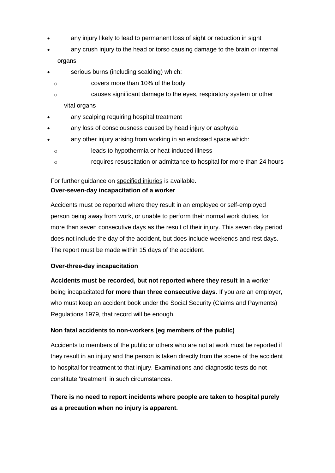- any injury likely to lead to permanent loss of sight or reduction in sight
- any crush injury to the head or torso causing damage to the brain or internal organs
- serious burns (including scalding) which:
	- o covers more than 10% of the body
	- o causes significant damage to the eyes, respiratory system or other vital organs
- any scalping requiring hospital treatment
- any loss of consciousness caused by head injury or asphyxia
- any other injury arising from working in an enclosed space which:
- o leads to hypothermia or heat-induced illness
- o requires resuscitation or admittance to hospital for more than 24 hours

# For further guidance on [specified injuries](http://www.hse.gov.uk/riddor/specified-injuries.htm) is available.

## **Over-seven-day incapacitation of a worker**

Accidents must be reported where they result in an employee or self-employed person being away from work, or unable to perform their normal work duties, for more than seven consecutive days as the result of their injury. This seven day period does not include the day of the accident, but does include weekends and rest days. The report must be made within 15 days of the accident.

# **Over-three-day incapacitation**

**Accidents must be recorded, but not reported where they result in a** worker being incapacitated **for more than three consecutive days**. If you are an employer, who must keep an accident book under the Social Security (Claims and Payments) Regulations 1979, that record will be enough.

# **Non fatal accidents to non-workers (eg members of the public)**

Accidents to members of the public or others who are not at work must be reported if they result in an injury and the person is taken directly from the scene of the accident to hospital for treatment to that injury. Examinations and diagnostic tests do not constitute 'treatment' in such circumstances.

**There is no need to report incidents where people are taken to hospital purely as a precaution when no injury is apparent.**